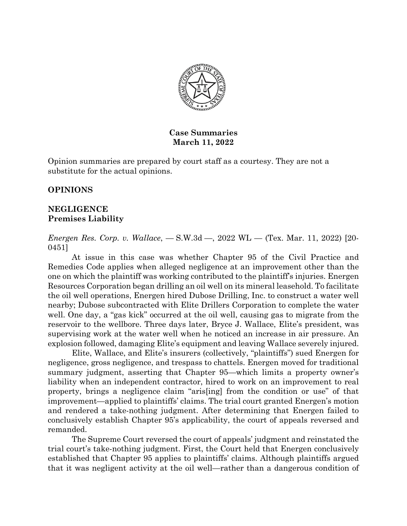

# **Case Summaries March 11, 2022**

Opinion summaries are prepared by court staff as a courtesy. They are not a substitute for the actual opinions.

# **OPINIONS**

## **NEGLIGENCE Premises Liability**

*Energen Res. Corp. v. Wallace*, — S.W.3d —, 2022 WL — (Tex. Mar. 11, 2022) [20- 0451]

 At issue in this case was whether Chapter 95 of the Civil Practice and Remedies Code applies when alleged negligence at an improvement other than the one on which the plaintiff was working contributed to the plaintiff's injuries. Energen Resources Corporation began drilling an oil well on its mineral leasehold. To facilitate the oil well operations, Energen hired Dubose Drilling, Inc. to construct a water well nearby; Dubose subcontracted with Elite Drillers Corporation to complete the water well. One day, a "gas kick" occurred at the oil well, causing gas to migrate from the reservoir to the wellbore. Three days later, Bryce J. Wallace, Elite's president, was supervising work at the water well when he noticed an increase in air pressure. An explosion followed, damaging Elite's equipment and leaving Wallace severely injured.

Elite, Wallace, and Elite's insurers (collectively, "plaintiffs") sued Energen for negligence, gross negligence, and trespass to chattels. Energen moved for traditional summary judgment, asserting that Chapter 95—which limits a property owner's liability when an independent contractor, hired to work on an improvement to real property, brings a negligence claim "aris[ing] from the condition or use" of that improvement—applied to plaintiffs' claims. The trial court granted Energen's motion and rendered a take-nothing judgment. After determining that Energen failed to conclusively establish Chapter 95's applicability, the court of appeals reversed and remanded.

The Supreme Court reversed the court of appeals' judgment and reinstated the trial court's take-nothing judgment. First, the Court held that Energen conclusively established that Chapter 95 applies to plaintiffs' claims. Although plaintiffs argued that it was negligent activity at the oil well—rather than a dangerous condition of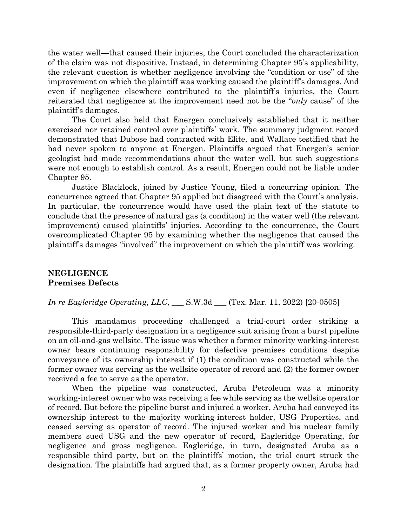the water well—that caused their injuries, the Court concluded the characterization of the claim was not dispositive. Instead, in determining Chapter 95's applicability, the relevant question is whether negligence involving the "condition or use" of the improvement on which the plaintiff was working caused the plaintiff's damages. And even if negligence elsewhere contributed to the plaintiff's injuries, the Court reiterated that negligence at the improvement need not be the "*only* cause" of the plaintiff's damages.

The Court also held that Energen conclusively established that it neither exercised nor retained control over plaintiffs' work. The summary judgment record demonstrated that Dubose had contracted with Elite, and Wallace testified that he had never spoken to anyone at Energen. Plaintiffs argued that Energen's senior geologist had made recommendations about the water well, but such suggestions were not enough to establish control. As a result, Energen could not be liable under Chapter 95.

Justice Blacklock, joined by Justice Young, filed a concurring opinion. The concurrence agreed that Chapter 95 applied but disagreed with the Court's analysis. In particular, the concurrence would have used the plain text of the statute to conclude that the presence of natural gas (a condition) in the water well (the relevant improvement) caused plaintiffs' injuries. According to the concurrence, the Court overcomplicated Chapter 95 by examining whether the negligence that caused the plaintiff's damages "involved" the improvement on which the plaintiff was working.

## **NEGLIGENCE Premises Defects**

## *In re Eagleridge Operating*, *LLC*, \_\_\_ S.W.3d \_\_\_ (Tex. Mar. 11, 2022) [20-0505]

This mandamus proceeding challenged a trial-court order striking a responsible-third-party designation in a negligence suit arising from a burst pipeline on an oil-and-gas wellsite. The issue was whether a former minority working-interest owner bears continuing responsibility for defective premises conditions despite conveyance of its ownership interest if (1) the condition was constructed while the former owner was serving as the wellsite operator of record and (2) the former owner received a fee to serve as the operator.

When the pipeline was constructed, Aruba Petroleum was a minority working-interest owner who was receiving a fee while serving as the wellsite operator of record. But before the pipeline burst and injured a worker, Aruba had conveyed its ownership interest to the majority working-interest holder, USG Properties, and ceased serving as operator of record. The injured worker and his nuclear family members sued USG and the new operator of record, Eagleridge Operating, for negligence and gross negligence. Eagleridge, in turn, designated Aruba as a responsible third party, but on the plaintiffs' motion, the trial court struck the designation. The plaintiffs had argued that, as a former property owner, Aruba had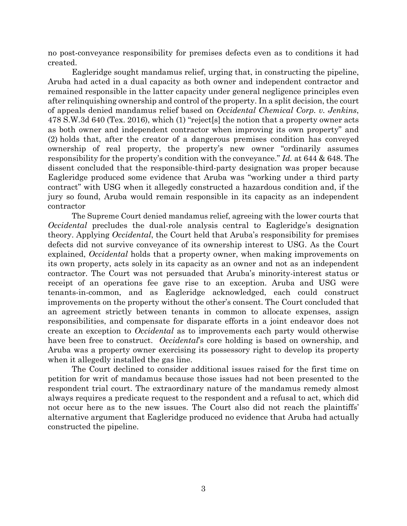no post-conveyance responsibility for premises defects even as to conditions it had created.

Eagleridge sought mandamus relief, urging that, in constructing the pipeline, Aruba had acted in a dual capacity as both owner and independent contractor and remained responsible in the latter capacity under general negligence principles even after relinquishing ownership and control of the property. In a split decision, the court of appeals denied mandamus relief based on *Occidental Chemical Corp. v. Jenkins*, 478 S.W.3d 640 (Tex. 2016), which (1) "reject[s] the notion that a property owner acts as both owner and independent contractor when improving its own property" and (2) holds that, after the creator of a dangerous premises condition has conveyed ownership of real property, the property's new owner "ordinarily assumes responsibility for the property's condition with the conveyance." *Id.* at 644 & 648. The dissent concluded that the responsible-third-party designation was proper because Eagleridge produced some evidence that Aruba was "working under a third party contract" with USG when it allegedly constructed a hazardous condition and, if the jury so found, Aruba would remain responsible in its capacity as an independent contractor

The Supreme Court denied mandamus relief, agreeing with the lower courts that *Occidental* precludes the dual-role analysis central to Eagleridge's designation theory. Applying *Occidental*, the Court held that Aruba's responsibility for premises defects did not survive conveyance of its ownership interest to USG. As the Court explained, *Occidental* holds that a property owner, when making improvements on its own property, acts solely in its capacity as an owner and not as an independent contractor. The Court was not persuaded that Aruba's minority-interest status or receipt of an operations fee gave rise to an exception. Aruba and USG were tenants-in-common, and as Eagleridge acknowledged, each could construct improvements on the property without the other's consent. The Court concluded that an agreement strictly between tenants in common to allocate expenses, assign responsibilities, and compensate for disparate efforts in a joint endeavor does not create an exception to *Occidental* as to improvements each party would otherwise have been free to construct. *Occidental*'s core holding is based on ownership, and Aruba was a property owner exercising its possessory right to develop its property when it allegedly installed the gas line.

The Court declined to consider additional issues raised for the first time on petition for writ of mandamus because those issues had not been presented to the respondent trial court. The extraordinary nature of the mandamus remedy almost always requires a predicate request to the respondent and a refusal to act, which did not occur here as to the new issues. The Court also did not reach the plaintiffs' alternative argument that Eagleridge produced no evidence that Aruba had actually constructed the pipeline.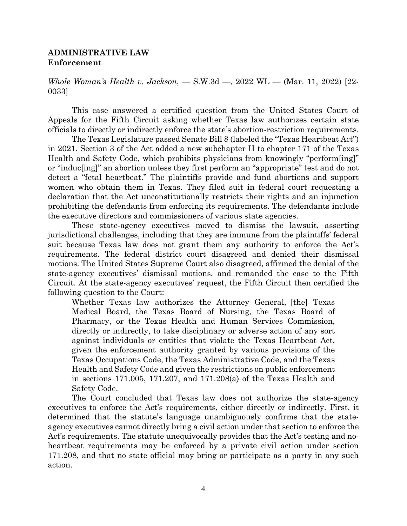#### **ADMINISTRATIVE LAW Enforcement**

*Whole Woman's Health v. Jackson*, — S.W.3d —, 2022 WL — (Mar. 11, 2022) [22- 0033]

This case answered a certified question from the United States Court of Appeals for the Fifth Circuit asking whether Texas law authorizes certain state officials to directly or indirectly enforce the state's abortion-restriction requirements.

The Texas Legislature passed Senate Bill 8 (labeled the "Texas Heartbeat Act") in 2021. Section 3 of the Act added a new subchapter H to chapter 171 of the Texas Health and Safety Code, which prohibits physicians from knowingly "perform[ing]" or "induc[ing]" an abortion unless they first perform an "appropriate" test and do not detect a "fetal heartbeat." The plaintiffs provide and fund abortions and support women who obtain them in Texas. They filed suit in federal court requesting a declaration that the Act unconstitutionally restricts their rights and an injunction prohibiting the defendants from enforcing its requirements. The defendants include the executive directors and commissioners of various state agencies.

These state-agency executives moved to dismiss the lawsuit, asserting jurisdictional challenges, including that they are immune from the plaintiffs' federal suit because Texas law does not grant them any authority to enforce the Act's requirements. The federal district court disagreed and denied their dismissal motions. The United States Supreme Court also disagreed, affirmed the denial of the state-agency executives' dismissal motions, and remanded the case to the Fifth Circuit. At the state-agency executives' request, the Fifth Circuit then certified the following question to the Court:

Whether Texas law authorizes the Attorney General, [the] Texas Medical Board, the Texas Board of Nursing, the Texas Board of Pharmacy, or the Texas Health and Human Services Commission, directly or indirectly, to take disciplinary or adverse action of any sort against individuals or entities that violate the Texas Heartbeat Act, given the enforcement authority granted by various provisions of the Texas Occupations Code, the Texas Administrative Code, and the Texas Health and Safety Code and given the restrictions on public enforcement in sections 171.005, 171.207, and 171.208(a) of the Texas Health and Safety Code.

 The Court concluded that Texas law does not authorize the state-agency executives to enforce the Act's requirements, either directly or indirectly. First, it determined that the statute's language unambiguously confirms that the stateagency executives cannot directly bring a civil action under that section to enforce the Act's requirements. The statute unequivocally provides that the Act's testing and noheartbeat requirements may be enforced by a private civil action under section 171.208, and that no state official may bring or participate as a party in any such action.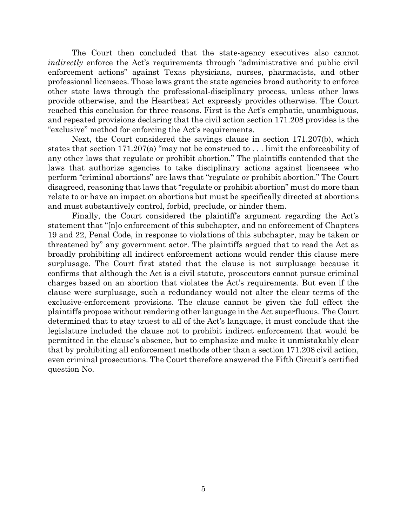The Court then concluded that the state-agency executives also cannot *indirectly* enforce the Act's requirements through "administrative and public civil enforcement actions" against Texas physicians, nurses, pharmacists, and other professional licensees. Those laws grant the state agencies broad authority to enforce other state laws through the professional-disciplinary process, unless other laws provide otherwise, and the Heartbeat Act expressly provides otherwise. The Court reached this conclusion for three reasons. First is the Act's emphatic, unambiguous, and repeated provisions declaring that the civil action section 171.208 provides is the "exclusive" method for enforcing the Act's requirements.

Next, the Court considered the savings clause in section 171.207(b), which states that section 171.207(a) "may not be construed to . . . limit the enforceability of any other laws that regulate or prohibit abortion." The plaintiffs contended that the laws that authorize agencies to take disciplinary actions against licensees who perform "criminal abortions" are laws that "regulate or prohibit abortion." The Court disagreed, reasoning that laws that "regulate or prohibit abortion" must do more than relate to or have an impact on abortions but must be specifically directed at abortions and must substantively control, forbid, preclude, or hinder them.

Finally, the Court considered the plaintiff's argument regarding the Act's statement that "[n]o enforcement of this subchapter, and no enforcement of Chapters 19 and 22, Penal Code, in response to violations of this subchapter, may be taken or threatened by" any government actor. The plaintiffs argued that to read the Act as broadly prohibiting all indirect enforcement actions would render this clause mere surplusage. The Court first stated that the clause is not surplusage because it confirms that although the Act is a civil statute, prosecutors cannot pursue criminal charges based on an abortion that violates the Act's requirements. But even if the clause were surplusage, such a redundancy would not alter the clear terms of the exclusive-enforcement provisions. The clause cannot be given the full effect the plaintiffs propose without rendering other language in the Act superfluous. The Court determined that to stay truest to all of the Act's language, it must conclude that the legislature included the clause not to prohibit indirect enforcement that would be permitted in the clause's absence, but to emphasize and make it unmistakably clear that by prohibiting all enforcement methods other than a section 171.208 civil action, even criminal prosecutions. The Court therefore answered the Fifth Circuit's certified question No.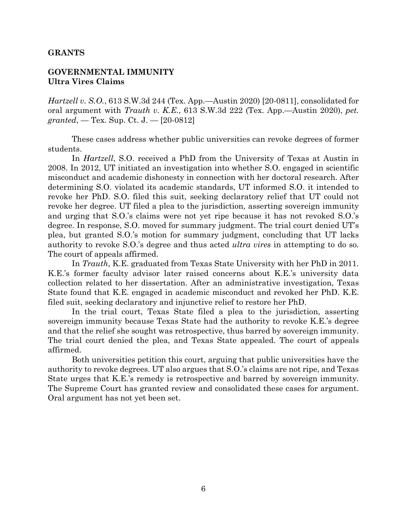#### **GRANTS**

### **GOVERNMENTAL IMMUNITY Ultra Vires Claims**

*Hartzell v. S.O.*, 613 S.W.3d 244 (Tex. App.—Austin 2020) [20-0811], consolidated for oral argument with *Trauth v. K.E.*, 613 S.W.3d 222 (Tex. App.—Austin 2020), *pet. granted*, — Tex. Sup. Ct. J. — [20-0812]

 These cases address whether public universities can revoke degrees of former students.

In *Hartzell*, S.O. received a PhD from the University of Texas at Austin in 2008. In 2012, UT initiated an investigation into whether S.O. engaged in scientific misconduct and academic dishonesty in connection with her doctoral research. After determining S.O. violated its academic standards, UT informed S.O. it intended to revoke her PhD. S.O. filed this suit, seeking declaratory relief that UT could not revoke her degree. UT filed a plea to the jurisdiction, asserting sovereign immunity and urging that S.O.'s claims were not yet ripe because it has not revoked S.O.'s degree. In response, S.O. moved for summary judgment. The trial court denied UT's plea, but granted S.O.'s motion for summary judgment, concluding that UT lacks authority to revoke S.O.'s degree and thus acted *ultra vires* in attempting to do so. The court of appeals affirmed.

In *Trauth*, K.E. graduated from Texas State University with her PhD in 2011. K.E.'s former faculty advisor later raised concerns about K.E.'s university data collection related to her dissertation. After an administrative investigation, Texas State found that K.E. engaged in academic misconduct and revoked her PhD. K.E. filed suit, seeking declaratory and injunctive relief to restore her PhD.

 In the trial court, Texas State filed a plea to the jurisdiction, asserting sovereign immunity because Texas State had the authority to revoke K.E.'s degree and that the relief she sought was retrospective, thus barred by sovereign immunity. The trial court denied the plea, and Texas State appealed. The court of appeals affirmed.

 Both universities petition this court, arguing that public universities have the authority to revoke degrees. UT also argues that S.O.'s claims are not ripe, and Texas State urges that K.E.'s remedy is retrospective and barred by sovereign immunity. The Supreme Court has granted review and consolidated these cases for argument. Oral argument has not yet been set.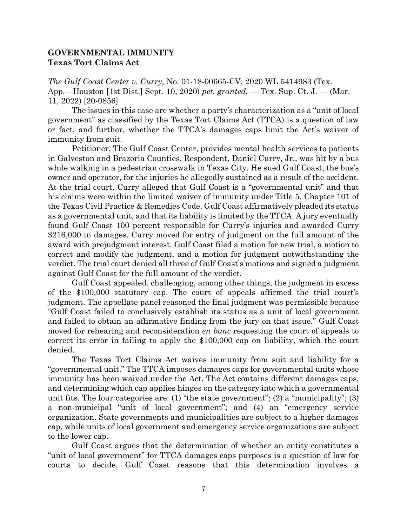### **GOVERNMENTAL IMMUNITY Texas Tort Claims Act**

*The Gulf Coast Center v. Curry*, No. 01-18-00665-CV, 2020 WL 5414983 (Tex. App.—Houston [1st Dist.] Sept. 10, 2020) *pet. granted*, — Tex. Sup. Ct. J. — (Mar. 11, 2022) [20-0856]

The issues in this case are whether a party's characterization as a "unit of local government" as classified by the Texas Tort Claims Act (TTCA) is a question of law or fact, and further, whether the TTCA's damages caps limit the Act's waiver of immunity from suit.

Petitioner, The Gulf Coast Center, provides mental health services to patients in Galveston and Brazoria Counties. Respondent, Daniel Curry, Jr., was hit by a bus while walking in a pedestrian crosswalk in Texas City. He sued Gulf Coast, the bus's owner and operator, for the injuries he allegedly sustained as a result of the accident. At the trial court, Curry alleged that Gulf Coast is a "governmental unit" and that his claims were within the limited waiver of immunity under Title 5, Chapter 101 of the Texas Civil Practice & Remedies Code. Gulf Coast affirmatively pleaded its status as a governmental unit, and that its liability is limited by the TTCA. A jury eventually found Gulf Coast 100 percent responsible for Curry's injuries and awarded Curry \$216,000 in damages. Curry moved for entry of judgment on the full amount of the award with prejudgment interest. Gulf Coast filed a motion for new trial, a motion to correct and modify the judgment, and a motion for judgment notwithstanding the verdict. The trial court denied all three of Gulf Coast's motions and signed a judgment against Gulf Coast for the full amount of the verdict.

Gulf Coast appealed, challenging, among other things, the judgment in excess of the \$100,000 statutory cap. The court of appeals affirmed the trial court's judgment. The appellate panel reasoned the final judgment was permissible because "Gulf Coast failed to conclusively establish its status as a unit of local government and failed to obtain an affirmative finding from the jury on that issue." Gulf Coast moved for rehearing and reconsideration *en banc* requesting the court of appeals to correct its error in failing to apply the \$100,000 cap on liability, which the court denied.

The Texas Tort Claims Act waives immunity from suit and liability for a "governmental unit." The TTCA imposes damages caps for governmental units whose immunity has been waived under the Act. The Act contains different damages caps, and determining which cap applies hinges on the category into which a governmental unit fits. The four categories are: (1) "the state government"; (2) a "municipality"; (3) a non-municipal "unit of local government"; and (4) an "emergency service organization. State governments and municipalities are subject to a higher damages cap, while units of local government and emergency service organizations are subject to the lower cap.

Gulf Coast argues that the determination of whether an entity constitutes a "unit of local government" for TTCA damages caps purposes is a question of law for courts to decide. Gulf Coast reasons that this determination involves a